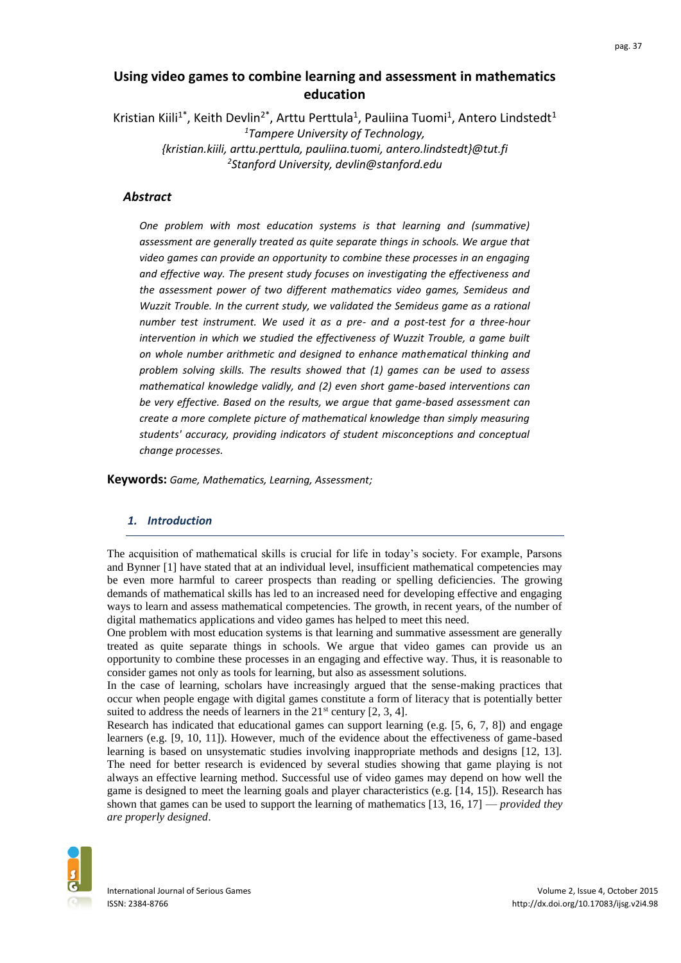# **Using video games to combine learning and assessment in mathematics education**

Kristian Kiili<sup>1\*</sup>, Keith Devlin<sup>2\*</sup>, Arttu Perttula<sup>1</sup>, Pauliina Tuomi<sup>1</sup>, Antero Lindstedt<sup>1</sup> *<sup>1</sup>Tampere University of Technology, {kristian.kiili, arttu.perttula, pauliina.tuomi, antero.lindstedt}@tut.fi 2 Stanford University, devlin@stanford.edu*

# *Abstract*

*One problem with most education systems is that learning and (summative) assessment are generally treated as quite separate things in schools. We argue that video games can provide an opportunity to combine these processes in an engaging and effective way. The present study focuses on investigating the effectiveness and the assessment power of two different mathematics video games, Semideus and Wuzzit Trouble. In the current study, we validated the Semideus game as a rational number test instrument. We used it as a pre- and a post-test for a three-hour intervention in which we studied the effectiveness of Wuzzit Trouble, a game built on whole number arithmetic and designed to enhance mathematical thinking and problem solving skills. The results showed that (1) games can be used to assess mathematical knowledge validly, and (2) even short game-based interventions can be very effective. Based on the results, we argue that game-based assessment can create a more complete picture of mathematical knowledge than simply measuring students' accuracy, providing indicators of student misconceptions and conceptual change processes.*

**Keywords:** *Game, Mathematics, Learning, Assessment;*

### *1. Introduction*

The acquisition of mathematical skills is crucial for life in today's society. For example, Parsons and Bynner [1] have stated that at an individual level, insufficient mathematical competencies may be even more harmful to career prospects than reading or spelling deficiencies. The growing demands of mathematical skills has led to an increased need for developing effective and engaging ways to learn and assess mathematical competencies. The growth, in recent years, of the number of digital mathematics applications and video games has helped to meet this need.

One problem with most education systems is that learning and summative assessment are generally treated as quite separate things in schools. We argue that video games can provide us an opportunity to combine these processes in an engaging and effective way. Thus, it is reasonable to consider games not only as tools for learning, but also as assessment solutions.

In the case of learning, scholars have increasingly argued that the sense-making practices that occur when people engage with digital games constitute a form of literacy that is potentially better suited to address the needs of learners in the  $21<sup>st</sup>$  century [2, 3, 4].

Research has indicated that educational games can support learning (e.g. [5, 6, 7, 8]) and engage learners (e.g. [9, 10, 11]). However, much of the evidence about the effectiveness of game-based learning is based on unsystematic studies involving inappropriate methods and designs [12, 13]. The need for better research is evidenced by several studies showing that game playing is not always an effective learning method. Successful use of video games may depend on how well the game is designed to meet the learning goals and player characteristics (e.g. [14, 15]). Research has shown that games can be used to support the learning of mathematics [13, 16, 17] — *provided they are properly designed*.

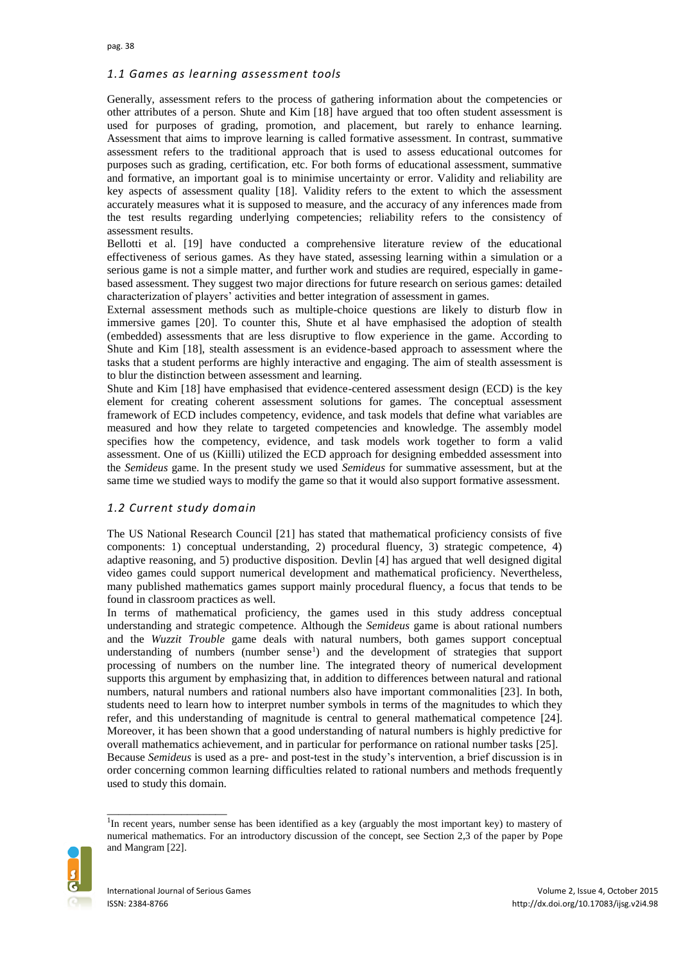## *1.1 Games as learning assessment tools*

Generally, assessment refers to the process of gathering information about the competencies or other attributes of a person. Shute and Kim [18] have argued that too often student assessment is used for purposes of grading, promotion, and placement, but rarely to enhance learning. Assessment that aims to improve learning is called formative assessment. In contrast, summative assessment refers to the traditional approach that is used to assess educational outcomes for purposes such as grading, certification, etc. For both forms of educational assessment, summative and formative, an important goal is to minimise uncertainty or error. Validity and reliability are key aspects of assessment quality [18]. Validity refers to the extent to which the assessment accurately measures what it is supposed to measure, and the accuracy of any inferences made from the test results regarding underlying competencies; reliability refers to the consistency of assessment results.

Bellotti et al. [19] have conducted a comprehensive literature review of the educational effectiveness of serious games. As they have stated, assessing learning within a simulation or a serious game is not a simple matter, and further work and studies are required, especially in gamebased assessment. They suggest two major directions for future research on serious games: detailed characterization of players' activities and better integration of assessment in games.

External assessment methods such as multiple-choice questions are likely to disturb flow in immersive games [20]. To counter this, Shute et al have emphasised the adoption of stealth (embedded) assessments that are less disruptive to flow experience in the game. According to Shute and Kim [18], stealth assessment is an evidence-based approach to assessment where the tasks that a student performs are highly interactive and engaging. The aim of stealth assessment is to blur the distinction between assessment and learning.

Shute and Kim [18] have emphasised that evidence-centered assessment design (ECD) is the key element for creating coherent assessment solutions for games. The conceptual assessment framework of ECD includes competency, evidence, and task models that define what variables are measured and how they relate to targeted competencies and knowledge. The assembly model specifies how the competency, evidence, and task models work together to form a valid assessment. One of us (Kiilli) utilized the ECD approach for designing embedded assessment into the *Semideus* game. In the present study we used *Semideus* for summative assessment, but at the same time we studied ways to modify the game so that it would also support formative assessment.

## *1.2 Current study domain*

The US National Research Council [21] has stated that mathematical proficiency consists of five components: 1) conceptual understanding, 2) procedural fluency, 3) strategic competence, 4) adaptive reasoning, and 5) productive disposition. Devlin [4] has argued that well designed digital video games could support numerical development and mathematical proficiency. Nevertheless, many published mathematics games support mainly procedural fluency, a focus that tends to be found in classroom practices as well.

In terms of mathematical proficiency, the games used in this study address conceptual understanding and strategic competence. Although the *Semideus* game is about rational numbers and the *Wuzzit Trouble* game deals with natural numbers, both games support conceptual understanding of numbers (number sense $\frac{1}{2}$ ) and the development of strategies that support processing of numbers on the number line. The integrated theory of numerical development supports this argument by emphasizing that, in addition to differences between natural and rational numbers, natural numbers and rational numbers also have important commonalities [23]. In both, students need to learn how to interpret number symbols in terms of the magnitudes to which they refer, and this understanding of magnitude is central to general mathematical competence [24]. Moreover, it has been shown that a good understanding of natural numbers is highly predictive for overall mathematics achievement, and in particular for performance on rational number tasks [25]. Because *Semideus* is used as a pre- and post-test in the study's intervention, a brief discussion is in order concerning common learning difficulties related to rational numbers and methods frequently used to study this domain.



<sup>&</sup>lt;sup>1</sup>In recent years, number sense has been identified as a key (arguably the most important key) to mastery of numerical mathematics. For an introductory discussion of the concept, see Section 2,3 of the paper by Pope and Mangram [22].

\_\_\_\_\_\_\_\_\_\_\_\_\_\_\_\_\_\_\_\_\_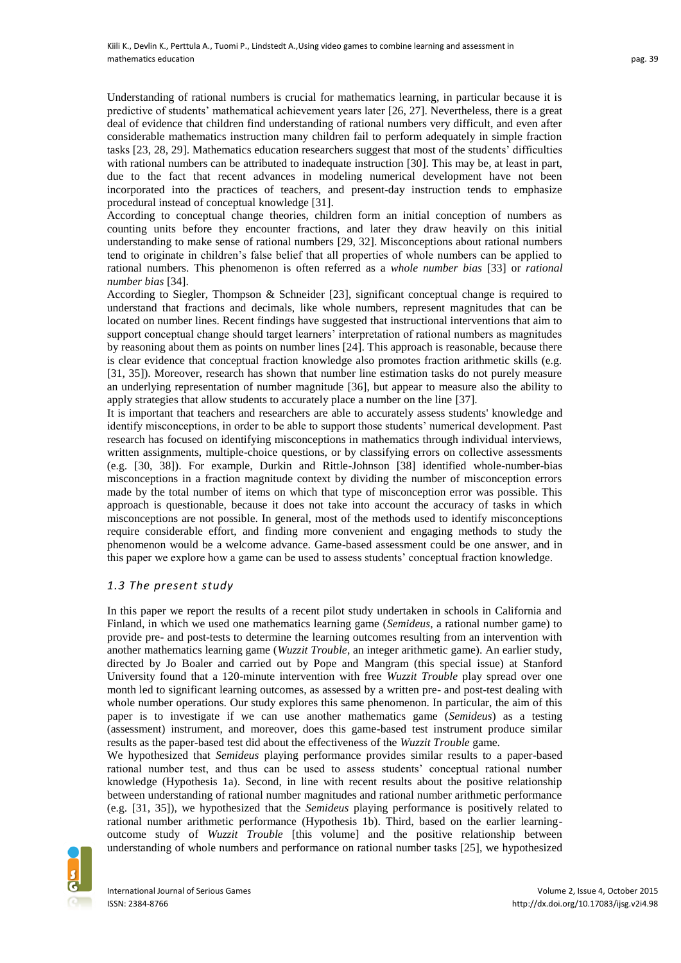Understanding of rational numbers is crucial for mathematics learning, in particular because it is predictive of students' mathematical achievement years later [26, 27]. Nevertheless, there is a great deal of evidence that children find understanding of rational numbers very difficult, and even after considerable mathematics instruction many children fail to perform adequately in simple fraction tasks [23, 28, 29]. Mathematics education researchers suggest that most of the students' difficulties with rational numbers can be attributed to inadequate instruction [30]. This may be, at least in part, due to the fact that recent advances in modeling numerical development have not been incorporated into the practices of teachers, and present-day instruction tends to emphasize procedural instead of conceptual knowledge [31].

According to conceptual change theories, children form an initial conception of numbers as counting units before they encounter fractions, and later they draw heavily on this initial understanding to make sense of rational numbers [29, 32]. Misconceptions about rational numbers tend to originate in children's false belief that all properties of whole numbers can be applied to rational numbers. This phenomenon is often referred as a *whole number bias* [33] or *rational number bias* [34].

According to Siegler, Thompson & Schneider [23], significant conceptual change is required to understand that fractions and decimals, like whole numbers, represent magnitudes that can be located on number lines. Recent findings have suggested that instructional interventions that aim to support conceptual change should target learners' interpretation of rational numbers as magnitudes by reasoning about them as points on number lines [24]. This approach is reasonable, because there is clear evidence that conceptual fraction knowledge also promotes fraction arithmetic skills (e.g. [31, 35]). Moreover, research has shown that number line estimation tasks do not purely measure an underlying representation of number magnitude [36], but appear to measure also the ability to apply strategies that allow students to accurately place a number on the line [37].

It is important that teachers and researchers are able to accurately assess students' knowledge and identify misconceptions, in order to be able to support those students' numerical development. Past research has focused on identifying misconceptions in mathematics through individual interviews, written assignments, multiple-choice questions, or by classifying errors on collective assessments (e.g. [30, 38]). For example, Durkin and Rittle-Johnson [38] identified whole-number-bias misconceptions in a fraction magnitude context by dividing the number of misconception errors made by the total number of items on which that type of misconception error was possible. This approach is questionable, because it does not take into account the accuracy of tasks in which misconceptions are not possible. In general, most of the methods used to identify misconceptions require considerable effort, and finding more convenient and engaging methods to study the phenomenon would be a welcome advance. Game-based assessment could be one answer, and in this paper we explore how a game can be used to assess students' conceptual fraction knowledge.

## *1.3 The present study*

In this paper we report the results of a recent pilot study undertaken in schools in California and Finland, in which we used one mathematics learning game (*Semideus*, a rational number game) to provide pre- and post-tests to determine the learning outcomes resulting from an intervention with another mathematics learning game (*Wuzzit Trouble*, an integer arithmetic game). An earlier study, directed by Jo Boaler and carried out by Pope and Mangram (this special issue) at Stanford University found that a 120-minute intervention with free *Wuzzit Trouble* play spread over one month led to significant learning outcomes, as assessed by a written pre- and post-test dealing with whole number operations. Our study explores this same phenomenon. In particular, the aim of this paper is to investigate if we can use another mathematics game (*Semideus*) as a testing (assessment) instrument, and moreover, does this game-based test instrument produce similar results as the paper-based test did about the effectiveness of the *Wuzzit Trouble* game.

We hypothesized that *Semideus* playing performance provides similar results to a paper-based rational number test, and thus can be used to assess students' conceptual rational number knowledge (Hypothesis 1a). Second, in line with recent results about the positive relationship between understanding of rational number magnitudes and rational number arithmetic performance (e.g. [31, 35]), we hypothesized that the *Semideus* playing performance is positively related to rational number arithmetic performance (Hypothesis 1b). Third, based on the earlier learningoutcome study of *Wuzzit Trouble* [this volume] and the positive relationship between understanding of whole numbers and performance on rational number tasks [25], we hypothesized

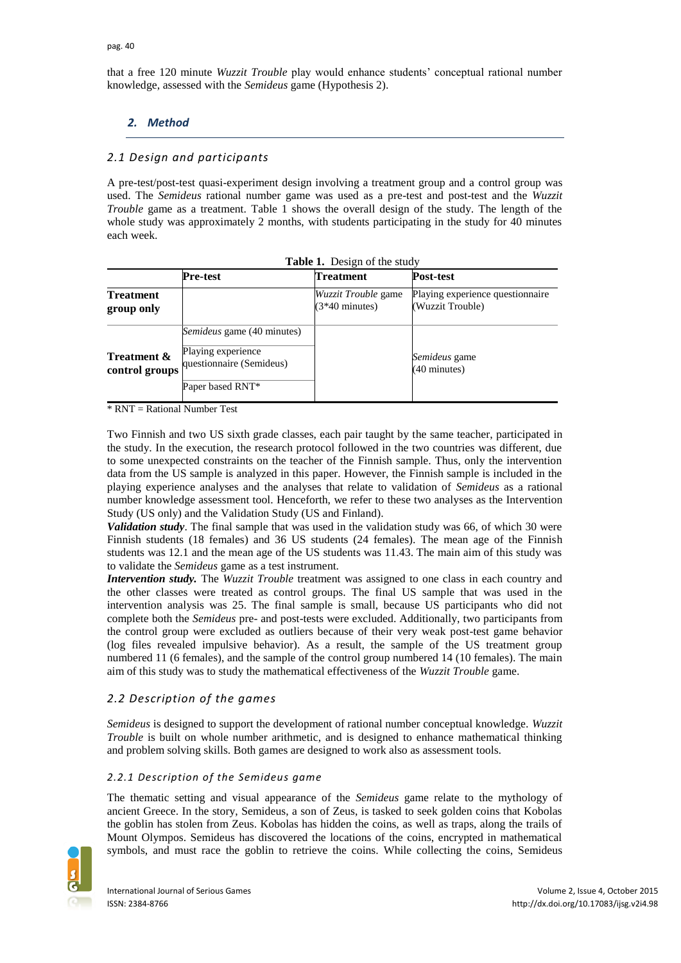that a free 120 minute *Wuzzit Trouble* play would enhance students' conceptual rational number knowledge, assessed with the *Semideus* game (Hypothesis 2).

# *2. Method*

# *2.1 Design and participants*

A pre-test/post-test quasi-experiment design involving a treatment group and a control group was used. The *Semideus* rational number game was used as a pre-test and post-test and the *Wuzzit Trouble* game as a treatment. Table 1 shows the overall design of the study. The length of the whole study was approximately 2 months, with students participating in the study for 40 minutes each week.

| <b>Table 1.</b> Design of the study      |                                                                                                         |                                                        |                                                      |  |  |  |
|------------------------------------------|---------------------------------------------------------------------------------------------------------|--------------------------------------------------------|------------------------------------------------------|--|--|--|
|                                          | Pre-test                                                                                                | <b>Treatment</b>                                       | <b>Post-test</b>                                     |  |  |  |
| <b>Treatment</b><br>group only           |                                                                                                         | <i>Wuzzit Trouble</i> game<br>$(3*40 \text{ minutes})$ | Playing experience questionnaire<br>(Wuzzit Trouble) |  |  |  |
| <b>Treatment &amp;</b><br>control groups | <i>Semideus</i> game (40 minutes)<br>Playing experience<br>questionnaire (Semideus)<br>Paper based RNT* |                                                        | Semideus game<br>$(40 \text{ minutes})$              |  |  |  |

 $*$  RNT = Rational Number Test

Two Finnish and two US sixth grade classes, each pair taught by the same teacher, participated in the study. In the execution, the research protocol followed in the two countries was different, due to some unexpected constraints on the teacher of the Finnish sample. Thus, only the intervention data from the US sample is analyzed in this paper. However, the Finnish sample is included in the playing experience analyses and the analyses that relate to validation of *Semideus* as a rational number knowledge assessment tool. Henceforth, we refer to these two analyses as the Intervention Study (US only) and the Validation Study (US and Finland).

*Validation study*. The final sample that was used in the validation study was 66, of which 30 were Finnish students (18 females) and 36 US students (24 females). The mean age of the Finnish students was 12.1 and the mean age of the US students was 11.43. The main aim of this study was to validate the *Semideus* game as a test instrument.

*Intervention study*. The *Wuzzit Trouble* treatment was assigned to one class in each country and the other classes were treated as control groups. The final US sample that was used in the intervention analysis was 25. The final sample is small, because US participants who did not complete both the *Semideus* pre- and post-tests were excluded. Additionally, two participants from the control group were excluded as outliers because of their very weak post-test game behavior (log files revealed impulsive behavior). As a result, the sample of the US treatment group numbered 11 (6 females), and the sample of the control group numbered 14 (10 females). The main aim of this study was to study the mathematical effectiveness of the *Wuzzit Trouble* game.

# *2.2 Description of the games*

*Semideus* is designed to support the development of rational number conceptual knowledge. *Wuzzit Trouble* is built on whole number arithmetic, and is designed to enhance mathematical thinking and problem solving skills. Both games are designed to work also as assessment tools.

## *2.2.1 Description of the Semideus game*

The thematic setting and visual appearance of the *Semideus* game relate to the mythology of ancient Greece. In the story, Semideus, a son of Zeus, is tasked to seek golden coins that Kobolas the goblin has stolen from Zeus. Kobolas has hidden the coins, as well as traps, along the trails of Mount Olympos. Semideus has discovered the locations of the coins, encrypted in mathematical symbols, and must race the goblin to retrieve the coins. While collecting the coins, Semideus

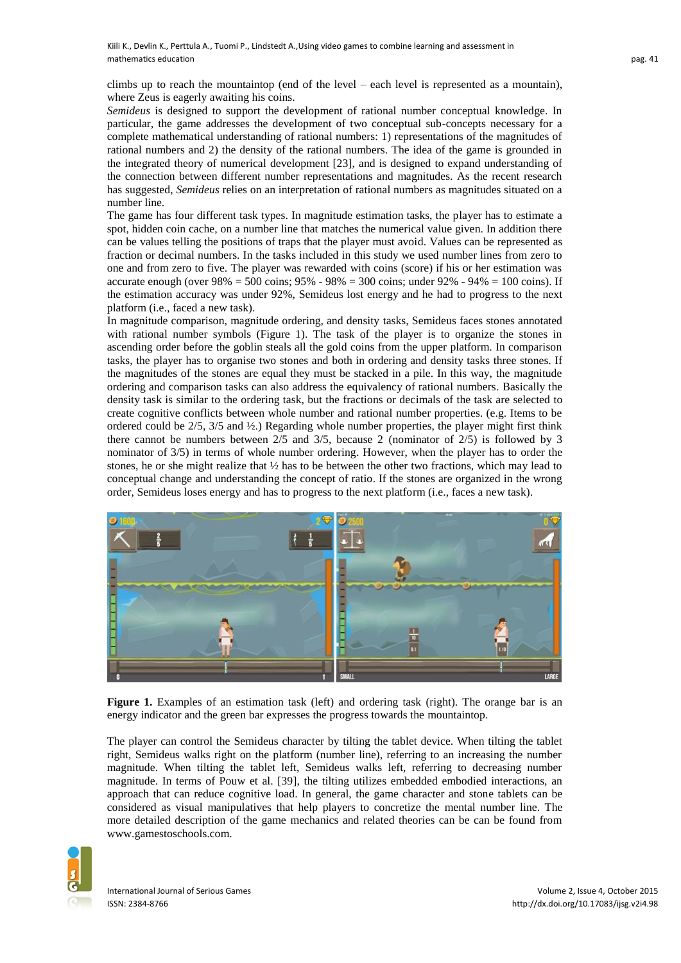climbs up to reach the mountaintop (end of the level – each level is represented as a mountain), where Zeus is eagerly awaiting his coins.

*Semideus* is designed to support the development of rational number conceptual knowledge. In particular, the game addresses the development of two conceptual sub-concepts necessary for a complete mathematical understanding of rational numbers: 1) representations of the magnitudes of rational numbers and 2) the density of the rational numbers. The idea of the game is grounded in the integrated theory of numerical development [23], and is designed to expand understanding of the connection between different number representations and magnitudes. As the recent research has suggested, *Semideus* relies on an interpretation of rational numbers as magnitudes situated on a number line.

The game has four different task types. In magnitude estimation tasks, the player has to estimate a spot, hidden coin cache, on a number line that matches the numerical value given. In addition there can be values telling the positions of traps that the player must avoid. Values can be represented as fraction or decimal numbers. In the tasks included in this study we used number lines from zero to one and from zero to five. The player was rewarded with coins (score) if his or her estimation was accurate enough (over  $98\% = 500$  coins;  $95\% - 98\% = 300$  coins; under  $92\% - 94\% = 100$  coins). If the estimation accuracy was under 92%, Semideus lost energy and he had to progress to the next platform (i.e., faced a new task).

In magnitude comparison, magnitude ordering, and density tasks, Semideus faces stones annotated with rational number symbols (Figure 1). The task of the player is to organize the stones in ascending order before the goblin steals all the gold coins from the upper platform. In comparison tasks, the player has to organise two stones and both in ordering and density tasks three stones. If the magnitudes of the stones are equal they must be stacked in a pile. In this way, the magnitude ordering and comparison tasks can also address the equivalency of rational numbers. Basically the density task is similar to the ordering task, but the fractions or decimals of the task are selected to create cognitive conflicts between whole number and rational number properties. (e.g. Items to be ordered could be  $2/5$ ,  $3/5$  and  $\frac{1}{2}$ .) Regarding whole number properties, the player might first think there cannot be numbers between 2/5 and 3/5, because 2 (nominator of 2/5) is followed by 3 nominator of 3/5) in terms of whole number ordering. However, when the player has to order the stones, he or she might realize that ½ has to be between the other two fractions, which may lead to conceptual change and understanding the concept of ratio. If the stones are organized in the wrong order, Semideus loses energy and has to progress to the next platform (i.e., faces a new task).



**Figure 1.** Examples of an estimation task (left) and ordering task (right). The orange bar is an energy indicator and the green bar expresses the progress towards the mountaintop.

The player can control the Semideus character by tilting the tablet device. When tilting the tablet right, Semideus walks right on the platform (number line), referring to an increasing the number magnitude. When tilting the tablet left, Semideus walks left, referring to decreasing number magnitude. In terms of Pouw et al. [39], the tilting utilizes embedded embodied interactions, an approach that can reduce cognitive load. In general, the game character and stone tablets can be considered as visual manipulatives that help players to concretize the mental number line. The more detailed description of the game mechanics and related theories can be can be found from www.gamestoschools.com.

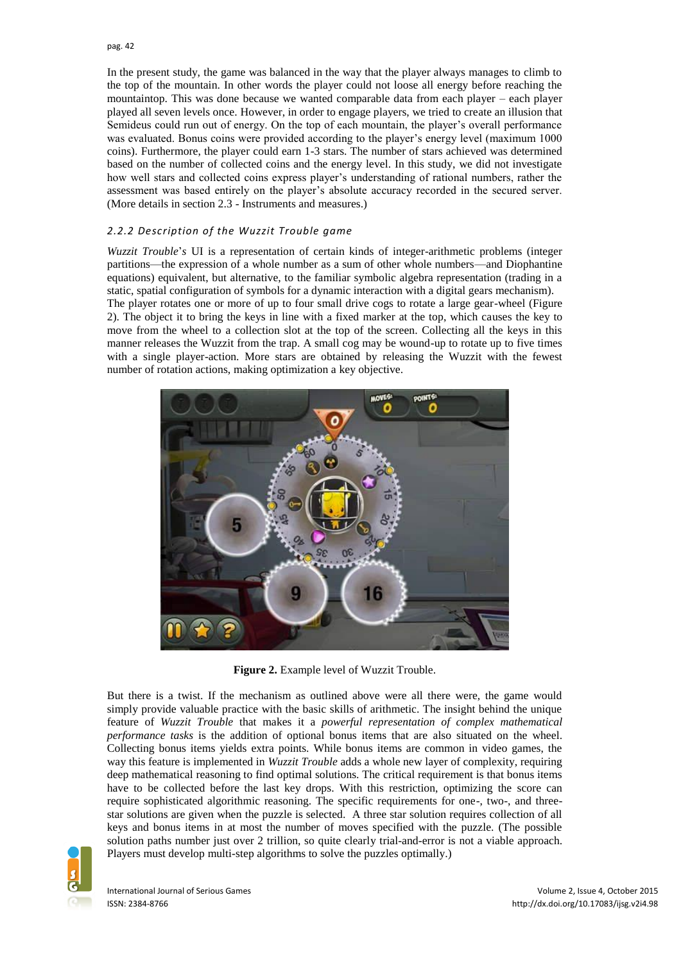In the present study, the game was balanced in the way that the player always manages to climb to the top of the mountain. In other words the player could not loose all energy before reaching the mountaintop. This was done because we wanted comparable data from each player – each player played all seven levels once. However, in order to engage players, we tried to create an illusion that Semideus could run out of energy. On the top of each mountain, the player's overall performance was evaluated. Bonus coins were provided according to the player's energy level (maximum 1000 coins). Furthermore, the player could earn 1-3 stars. The number of stars achieved was determined based on the number of collected coins and the energy level. In this study, we did not investigate how well stars and collected coins express player's understanding of rational numbers, rather the assessment was based entirely on the player's absolute accuracy recorded in the secured server. (More details in section 2.3 - Instruments and measures.)

### *2.2.2 Description of the Wuzzit Trouble game*

*Wuzzit Trouble*'s UI is a representation of certain kinds of integer-arithmetic problems (integer partitions—the expression of a whole number as a sum of other whole numbers—and Diophantine equations) equivalent, but alternative, to the familiar symbolic algebra representation (trading in a static, spatial configuration of symbols for a dynamic interaction with a digital gears mechanism). The player rotates one or more of up to four small drive cogs to rotate a large gear-wheel (Figure 2). The object it to bring the keys in line with a fixed marker at the top, which causes the key to move from the wheel to a collection slot at the top of the screen. Collecting all the keys in this manner releases the Wuzzit from the trap. A small cog may be wound-up to rotate up to five times with a single player-action. More stars are obtained by releasing the Wuzzit with the fewest number of rotation actions, making optimization a key objective.



**Figure 2.** Example level of Wuzzit Trouble.

But there is a twist. If the mechanism as outlined above were all there were, the game would simply provide valuable practice with the basic skills of arithmetic. The insight behind the unique feature of *Wuzzit Trouble* that makes it a *powerful representation of complex mathematical performance tasks* is the addition of optional bonus items that are also situated on the wheel. Collecting bonus items yields extra points. While bonus items are common in video games, the way this feature is implemented in *Wuzzit Trouble* adds a whole new layer of complexity, requiring deep mathematical reasoning to find optimal solutions. The critical requirement is that bonus items have to be collected before the last key drops. With this restriction, optimizing the score can require sophisticated algorithmic reasoning. The specific requirements for one-, two-, and threestar solutions are given when the puzzle is selected. A three star solution requires collection of all keys and bonus items in at most the number of moves specified with the puzzle. (The possible solution paths number just over 2 trillion, so quite clearly trial-and-error is not a viable approach. Players must develop multi-step algorithms to solve the puzzles optimally.)

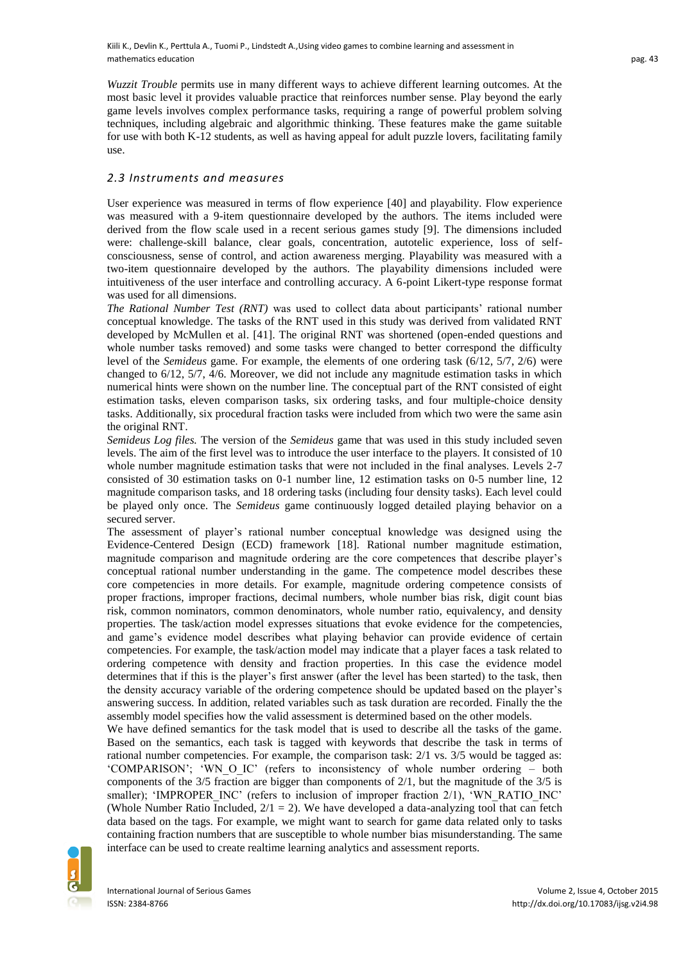*Wuzzit Trouble* permits use in many different ways to achieve different learning outcomes. At the most basic level it provides valuable practice that reinforces number sense. Play beyond the early game levels involves complex performance tasks, requiring a range of powerful problem solving techniques, including algebraic and algorithmic thinking. These features make the game suitable for use with both K-12 students, as well as having appeal for adult puzzle lovers, facilitating family use.

## *2.3 Instruments and measures*

User experience was measured in terms of flow experience [40] and playability. Flow experience was measured with a 9-item questionnaire developed by the authors. The items included were derived from the flow scale used in a recent serious games study [9]. The dimensions included were: challenge-skill balance, clear goals, concentration, autotelic experience, loss of selfconsciousness, sense of control, and action awareness merging. Playability was measured with a two-item questionnaire developed by the authors. The playability dimensions included were intuitiveness of the user interface and controlling accuracy. A 6-point Likert-type response format was used for all dimensions.

*The Rational Number Test (RNT)* was used to collect data about participants' rational number conceptual knowledge. The tasks of the RNT used in this study was derived from validated RNT developed by McMullen et al. [41]. The original RNT was shortened (open-ended questions and whole number tasks removed) and some tasks were changed to better correspond the difficulty level of the *Semideus* game. For example, the elements of one ordering task (6/12, 5/7, 2/6) were changed to 6/12, 5/7, 4/6. Moreover, we did not include any magnitude estimation tasks in which numerical hints were shown on the number line. The conceptual part of the RNT consisted of eight estimation tasks, eleven comparison tasks, six ordering tasks, and four multiple-choice density tasks. Additionally, six procedural fraction tasks were included from which two were the same asin the original RNT.

*Semideus Log files.* The version of the *Semideus* game that was used in this study included seven levels. The aim of the first level was to introduce the user interface to the players. It consisted of 10 whole number magnitude estimation tasks that were not included in the final analyses. Levels 2-7 consisted of 30 estimation tasks on 0-1 number line, 12 estimation tasks on 0-5 number line, 12 magnitude comparison tasks, and 18 ordering tasks (including four density tasks). Each level could be played only once. The *Semideus* game continuously logged detailed playing behavior on a secured server.

The assessment of player's rational number conceptual knowledge was designed using the Evidence-Centered Design (ECD) framework [18]. Rational number magnitude estimation, magnitude comparison and magnitude ordering are the core competences that describe player's conceptual rational number understanding in the game. The competence model describes these core competencies in more details. For example, magnitude ordering competence consists of proper fractions, improper fractions, decimal numbers, whole number bias risk, digit count bias risk, common nominators, common denominators, whole number ratio, equivalency, and density properties. The task/action model expresses situations that evoke evidence for the competencies, and game's evidence model describes what playing behavior can provide evidence of certain competencies. For example, the task/action model may indicate that a player faces a task related to ordering competence with density and fraction properties. In this case the evidence model determines that if this is the player's first answer (after the level has been started) to the task, then the density accuracy variable of the ordering competence should be updated based on the player's answering success. In addition, related variables such as task duration are recorded. Finally the the assembly model specifies how the valid assessment is determined based on the other models.

We have defined semantics for the task model that is used to describe all the tasks of the game. Based on the semantics, each task is tagged with keywords that describe the task in terms of rational number competencies. For example, the comparison task: 2/1 vs. 3/5 would be tagged as: 'COMPARISON'; 'WN\_O\_IC' (refers to inconsistency of whole number ordering – both components of the 3/5 fraction are bigger than components of 2/1, but the magnitude of the 3/5 is smaller); 'IMPROPER\_INC' (refers to inclusion of improper fraction 2/1), 'WN\_RATIO\_INC' (Whole Number Ratio Included,  $2/1 = 2$ ). We have developed a data-analyzing tool that can fetch data based on the tags. For example, we might want to search for game data related only to tasks containing fraction numbers that are susceptible to whole number bias misunderstanding. The same interface can be used to create realtime learning analytics and assessment reports.

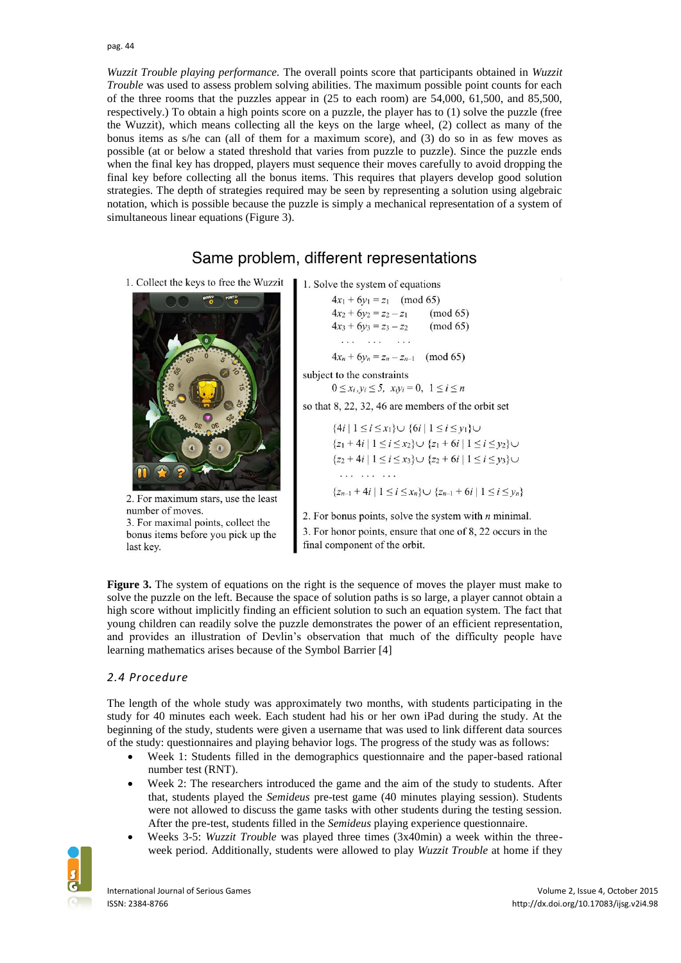*Wuzzit Trouble playing performance.* The overall points score that participants obtained in *Wuzzit Trouble* was used to assess problem solving abilities. The maximum possible point counts for each of the three rooms that the puzzles appear in (25 to each room) are 54,000, 61,500, and 85,500, respectively.) To obtain a high points score on a puzzle, the player has to (1) solve the puzzle (free the Wuzzit), which means collecting all the keys on the large wheel, (2) collect as many of the bonus items as s/he can (all of them for a maximum score), and (3) do so in as few moves as possible (at or below a stated threshold that varies from puzzle to puzzle). Since the puzzle ends when the final key has dropped, players must sequence their moves carefully to avoid dropping the final key before collecting all the bonus items. This requires that players develop good solution strategies. The depth of strategies required may be seen by representing a solution using algebraic notation, which is possible because the puzzle is simply a mechanical representation of a system of simultaneous linear equations (Figure 3).

# Same problem, different representations

1. Collect the keys to free the Wuzzit



2. For maximum stars, use the least number of moves. 3. For maximal points, collect the bonus items before you pick up the last key.

1. Solve the system of equations

| $4x_1 + 6y_1 = z_1 \pmod{65}$                          |                      |
|--------------------------------------------------------|----------------------|
| $4x_2 + 6y_2 = z_2 - z_1$<br>$4x_3 + 6y_3 = z_3 - z_2$ | (mod 65)<br>(mod 65) |
| 10 F G F G<br>$\cdot$ $\cdot$ $\cdot$                  |                      |
| $4x_0 + 6y_2 = 7x - 7x + 1$                            | (mod 65)             |

subject to the constraints

 $0 \le x_i, y_i \le 5$ ,  $x_i y_i = 0$ ,  $1 \le i \le n$ 

so that 8, 22, 32, 46 are members of the orbit set

 $\{4i \mid 1 \le i \le x_1\} \cup \{6i \mid 1 \le i \le y_1\} \cup$  ${z_1 + 4i | 1 \le i \le x_2} \cup {z_1 + 6i | 1 \le i \le y_2} \cup$  ${z_2 + 4i | 1 \le i \le x_3} \cup {z_2 + 6i | 1 \le i \le y_3}$ . . . . . . . . . .  ${z_{n-1}+4i \mid 1 \le i \le x_n} \cup {z_{n-1}+6i \mid 1 \le i \le y_n}$ 

2. For bonus points, solve the system with  $n$  minimal.

3. For honor points, ensure that one of 8, 22 occurs in the final component of the orbit.

**Figure 3.** The system of equations on the right is the sequence of moves the player must make to solve the puzzle on the left. Because the space of solution paths is so large, a player cannot obtain a high score without implicitly finding an efficient solution to such an equation system. The fact that young children can readily solve the puzzle demonstrates the power of an efficient representation, and provides an illustration of Devlin's observation that much of the difficulty people have learning mathematics arises because of the Symbol Barrier [4]

# *2.4 Procedure*

The length of the whole study was approximately two months, with students participating in the study for 40 minutes each week. Each student had his or her own iPad during the study. At the beginning of the study, students were given a username that was used to link different data sources of the study: questionnaires and playing behavior logs. The progress of the study was as follows:

- Week 1: Students filled in the demographics questionnaire and the paper-based rational number test (RNT).
- Week 2: The researchers introduced the game and the aim of the study to students. After that, students played the *Semideus* pre-test game (40 minutes playing session). Students were not allowed to discuss the game tasks with other students during the testing session. After the pre-test, students filled in the *Semideus* playing experience questionnaire.
- Weeks 3-5: *Wuzzit Trouble* was played three times (3x40min) a week within the threeweek period. Additionally, students were allowed to play *Wuzzit Trouble* at home if they

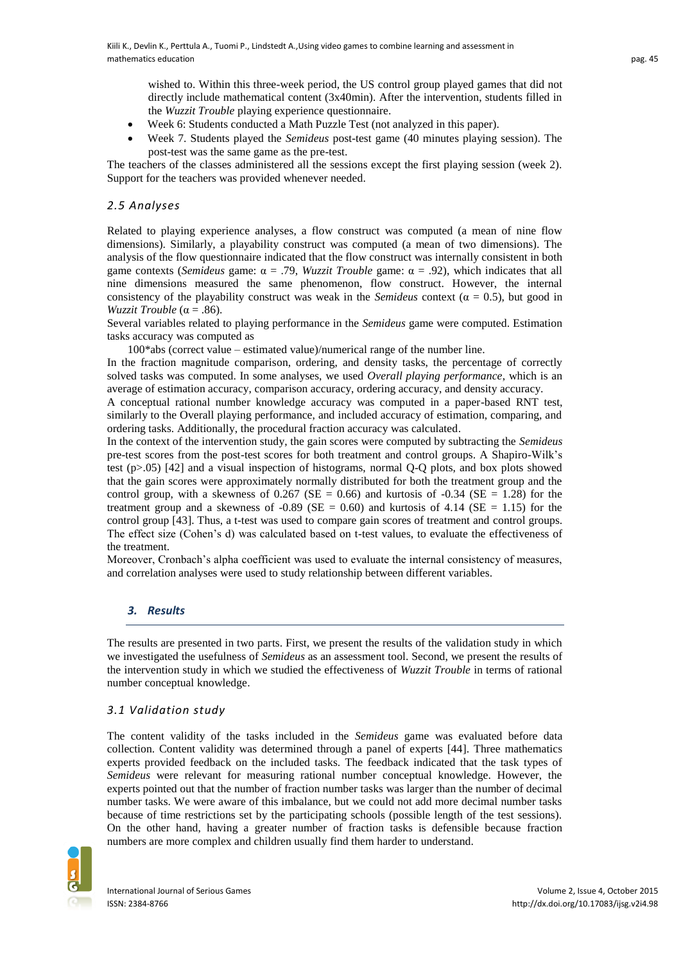wished to. Within this three-week period, the US control group played games that did not directly include mathematical content (3x40min). After the intervention, students filled in the *Wuzzit Trouble* playing experience questionnaire.

- Week 6: Students conducted a Math Puzzle Test (not analyzed in this paper).
- Week 7. Students played the *Semideus* post-test game (40 minutes playing session). The post-test was the same game as the pre-test.

The teachers of the classes administered all the sessions except the first playing session (week 2). Support for the teachers was provided whenever needed.

## *2.5 Analyses*

Related to playing experience analyses, a flow construct was computed (a mean of nine flow dimensions). Similarly, a playability construct was computed (a mean of two dimensions). The analysis of the flow questionnaire indicated that the flow construct was internally consistent in both game contexts (*Semideus* game: α = .79, *Wuzzit Trouble* game: α = .92), which indicates that all nine dimensions measured the same phenomenon, flow construct. However, the internal consistency of the playability construct was weak in the *Semideus* context ( $\alpha = 0.5$ ), but good in *Wuzzit Trouble* ( $\alpha$  = .86).

Several variables related to playing performance in the *Semideus* game were computed. Estimation tasks accuracy was computed as

100\*abs (correct value – estimated value)/numerical range of the number line.

In the fraction magnitude comparison, ordering, and density tasks, the percentage of correctly solved tasks was computed. In some analyses, we used *Overall playing performance*, which is an average of estimation accuracy, comparison accuracy, ordering accuracy, and density accuracy.

A conceptual rational number knowledge accuracy was computed in a paper-based RNT test, similarly to the Overall playing performance, and included accuracy of estimation, comparing, and ordering tasks. Additionally, the procedural fraction accuracy was calculated.

In the context of the intervention study, the gain scores were computed by subtracting the *Semideus* pre-test scores from the post-test scores for both treatment and control groups. A Shapiro-Wilk's test (p>.05) [42] and a visual inspection of histograms, normal Q-Q plots, and box plots showed that the gain scores were approximately normally distributed for both the treatment group and the control group, with a skewness of  $0.267$  (SE = 0.66) and kurtosis of  $-0.34$  (SE = 1.28) for the treatment group and a skewness of  $-0.89$  (SE = 0.60) and kurtosis of 4.14 (SE = 1.15) for the control group [43]. Thus, a t-test was used to compare gain scores of treatment and control groups. The effect size (Cohen's d) was calculated based on t-test values, to evaluate the effectiveness of the treatment.

Moreover, Cronbach's alpha coefficient was used to evaluate the internal consistency of measures, and correlation analyses were used to study relationship between different variables.

## *3. Results*

The results are presented in two parts. First, we present the results of the validation study in which we investigated the usefulness of *Semideus* as an assessment tool. Second, we present the results of the intervention study in which we studied the effectiveness of *Wuzzit Trouble* in terms of rational number conceptual knowledge.

#### *3.1 Validation study*

The content validity of the tasks included in the *Semideus* game was evaluated before data collection. Content validity was determined through a panel of experts [44]. Three mathematics experts provided feedback on the included tasks. The feedback indicated that the task types of *Semideus* were relevant for measuring rational number conceptual knowledge. However, the experts pointed out that the number of fraction number tasks was larger than the number of decimal number tasks. We were aware of this imbalance, but we could not add more decimal number tasks because of time restrictions set by the participating schools (possible length of the test sessions). On the other hand, having a greater number of fraction tasks is defensible because fraction numbers are more complex and children usually find them harder to understand.

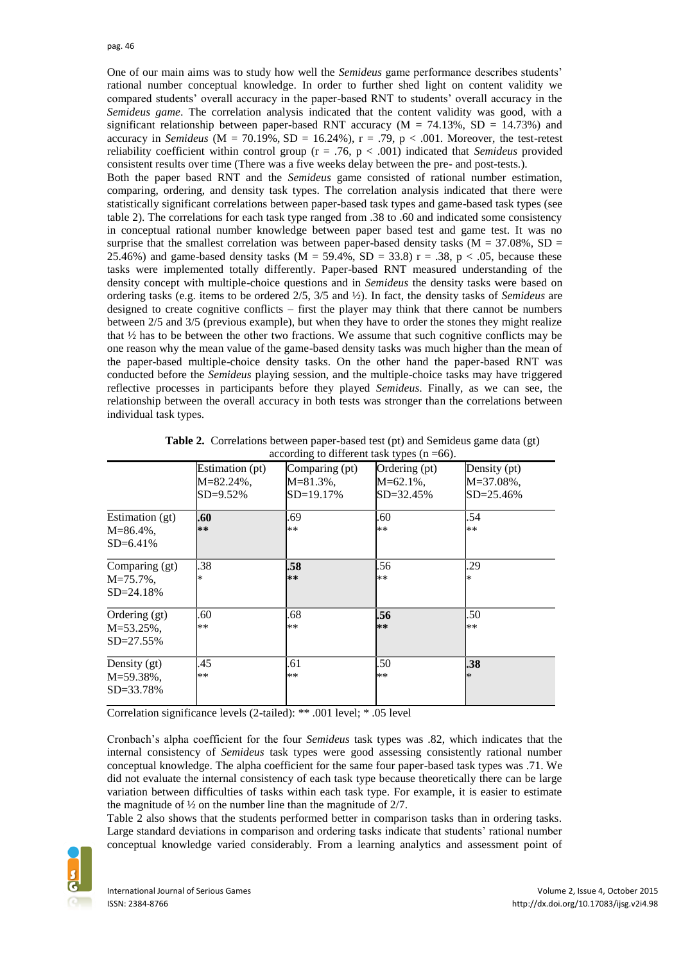One of our main aims was to study how well the *Semideus* game performance describes students' rational number conceptual knowledge. In order to further shed light on content validity we compared students' overall accuracy in the paper-based RNT to students' overall accuracy in the *Semideus game*. The correlation analysis indicated that the content validity was good, with a significant relationship between paper-based RNT accuracy ( $M = 74.13\%$ , SD = 14.73%) and accuracy in *Semideus* ( $M = 70.19\%$ ,  $SD = 16.24\%$ ),  $r = .79$ ,  $p < .001$ . Moreover, the test-retest reliability coefficient within control group (r = .76, p < .001) indicated that *Semideus* provided consistent results over time (There was a five weeks delay between the pre- and post-tests.).

Both the paper based RNT and the *Semideus* game consisted of rational number estimation, comparing, ordering, and density task types. The correlation analysis indicated that there were statistically significant correlations between paper-based task types and game-based task types (see table 2). The correlations for each task type ranged from .38 to .60 and indicated some consistency in conceptual rational number knowledge between paper based test and game test. It was no surprise that the smallest correlation was between paper-based density tasks ( $M = 37.08\%$ , SD = 25.46%) and game-based density tasks ( $M = 59.4\%$ ,  $SD = 33.8$ ) r = .38, p < .05, because these tasks were implemented totally differently. Paper-based RNT measured understanding of the density concept with multiple-choice questions and in *Semideus* the density tasks were based on ordering tasks (e.g. items to be ordered 2/5, 3/5 and ½). In fact, the density tasks of *Semideus* are designed to create cognitive conflicts – first the player may think that there cannot be numbers between 2/5 and 3/5 (previous example), but when they have to order the stones they might realize that  $\frac{1}{2}$  has to be between the other two fractions. We assume that such cognitive conflicts may be one reason why the mean value of the game-based density tasks was much higher than the mean of the paper-based multiple-choice density tasks. On the other hand the paper-based RNT was conducted before the *Semideus* playing session, and the multiple-choice tasks may have triggered reflective processes in participants before they played *Semideus*. Finally, as we can see, the relationship between the overall accuracy in both tests was stronger than the correlations between individual task types.

|                 | Estimation (pt) | Comparing (pt) | Ordering (pt)  | Density (pt)   |
|-----------------|-----------------|----------------|----------------|----------------|
|                 | $M = 82.24\%$ , | $M = 81.3\%$ , | $M = 62.1\%$ , | M=37.08%,      |
|                 | $SD = 9.52\%$   | SD=19.17%      | $SD = 32.45\%$ | $SD = 25.46\%$ |
| Estimation (gt) | .60             | .69            | .60            | .54            |
| $M = 86.4\%$ ,  | **              | $***$          | $**$           | $**$           |
| $SD = 6.41\%$   |                 |                |                |                |
| Comparing (gt)  | .38             | .58            | .56            | .29            |
| $M = 75.7\%$ .  | *               | **             | $**$           | *              |
| $SD = 24.18%$   |                 |                |                |                |
| Ordering (gt)   | .60             | .68            | .56            | .50            |
| $M = 53.25\%$ , | **              | $***$          | $**$           | **             |
| $SD = 27.55\%$  |                 |                |                |                |
| Density (gt)    | .45             | .61            | .50            | .38            |
| $M = 59.38\%$ , | **              | $***$          | $**$           | $\ast$         |
| $SD = 33.78%$   |                 |                |                |                |

**Table 2.** Correlations between paper-based test (pt) and Semideus game data (gt) according to different task types  $(n = 66)$ .

Correlation significance levels (2-tailed): \*\* .001 level; \* .05 level

Cronbach's alpha coefficient for the four *Semideus* task types was .82, which indicates that the internal consistency of *Semideus* task types were good assessing consistently rational number conceptual knowledge. The alpha coefficient for the same four paper-based task types was .71. We did not evaluate the internal consistency of each task type because theoretically there can be large variation between difficulties of tasks within each task type. For example, it is easier to estimate the magnitude of ½ on the number line than the magnitude of 2/7.

Table 2 also shows that the students performed better in comparison tasks than in ordering tasks. Large standard deviations in comparison and ordering tasks indicate that students' rational number conceptual knowledge varied considerably. From a learning analytics and assessment point of

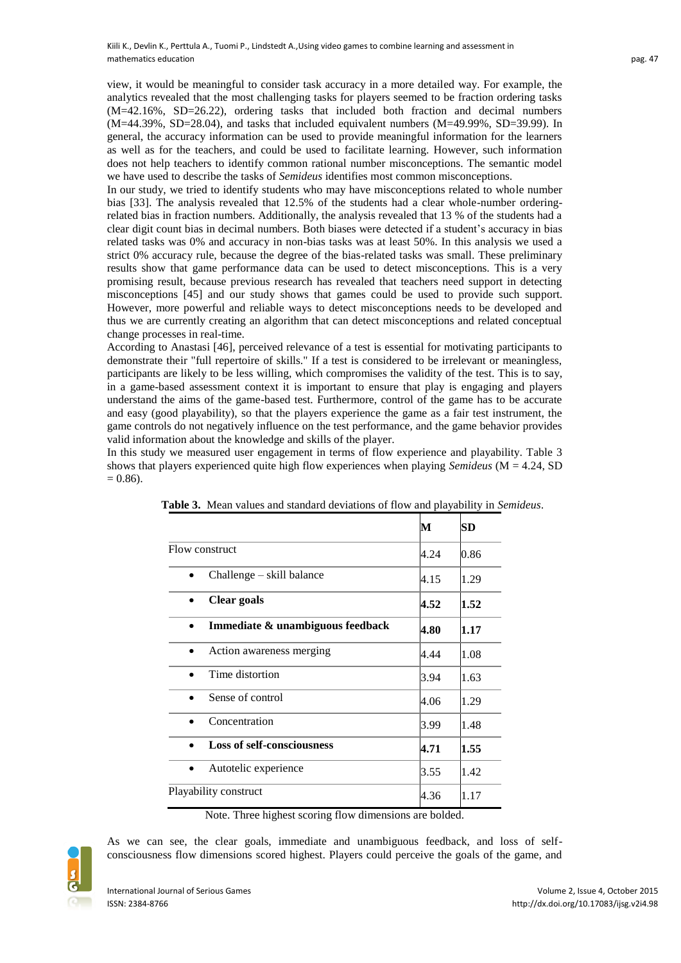view, it would be meaningful to consider task accuracy in a more detailed way. For example, the analytics revealed that the most challenging tasks for players seemed to be fraction ordering tasks (M=42.16%, SD=26.22), ordering tasks that included both fraction and decimal numbers (M=44.39%, SD=28.04), and tasks that included equivalent numbers (M=49.99%, SD=39.99). In general, the accuracy information can be used to provide meaningful information for the learners as well as for the teachers, and could be used to facilitate learning. However, such information does not help teachers to identify common rational number misconceptions. The semantic model we have used to describe the tasks of *Semideus* identifies most common misconceptions.

In our study, we tried to identify students who may have misconceptions related to whole number bias [33]. The analysis revealed that 12.5% of the students had a clear whole-number orderingrelated bias in fraction numbers. Additionally, the analysis revealed that 13 % of the students had a clear digit count bias in decimal numbers. Both biases were detected if a student's accuracy in bias related tasks was 0% and accuracy in non-bias tasks was at least 50%. In this analysis we used a strict 0% accuracy rule, because the degree of the bias-related tasks was small. These preliminary results show that game performance data can be used to detect misconceptions. This is a very promising result, because previous research has revealed that teachers need support in detecting misconceptions [45] and our study shows that games could be used to provide such support. However, more powerful and reliable ways to detect misconceptions needs to be developed and thus we are currently creating an algorithm that can detect misconceptions and related conceptual change processes in real-time.

According to Anastasi [46], perceived relevance of a test is essential for motivating participants to demonstrate their "full repertoire of skills." If a test is considered to be irrelevant or meaningless, participants are likely to be less willing, which compromises the validity of the test. This is to say, in a game-based assessment context it is important to ensure that play is engaging and players understand the aims of the game-based test. Furthermore, control of the game has to be accurate and easy (good playability), so that the players experience the game as a fair test instrument, the game controls do not negatively influence on the test performance, and the game behavior provides valid information about the knowledge and skills of the player.

In this study we measured user engagement in terms of flow experience and playability. Table 3 shows that players experienced quite high flow experiences when playing *Semideus* (M = 4.24, SD  $= 0.86$ ).

|                                        | М    | SD   |
|----------------------------------------|------|------|
| Flow construct                         | 4.24 | 0.86 |
| Challenge – skill balance<br>$\bullet$ | 4.15 | 1.29 |
| Clear goals                            | 4.52 | 1.52 |
| Immediate & unambiguous feedback       | 4.80 | 1.17 |
| Action awareness merging               | 4.44 | 1.08 |
| Time distortion                        | 3.94 | 1.63 |
| Sense of control                       | 4.06 | 1.29 |
| Concentration                          | 3.99 | 1.48 |
| <b>Loss of self-consciousness</b>      | 4.71 | 1.55 |
| Autotelic experience                   | 3.55 | 1.42 |
| Playability construct                  | 4.36 | 1.17 |

**Table 3.** Mean values and standard deviations of flow and playability in *Semideus*.

Note. Three highest scoring flow dimensions are bolded.



As we can see, the clear goals, immediate and unambiguous feedback, and loss of selfconsciousness flow dimensions scored highest. Players could perceive the goals of the game, and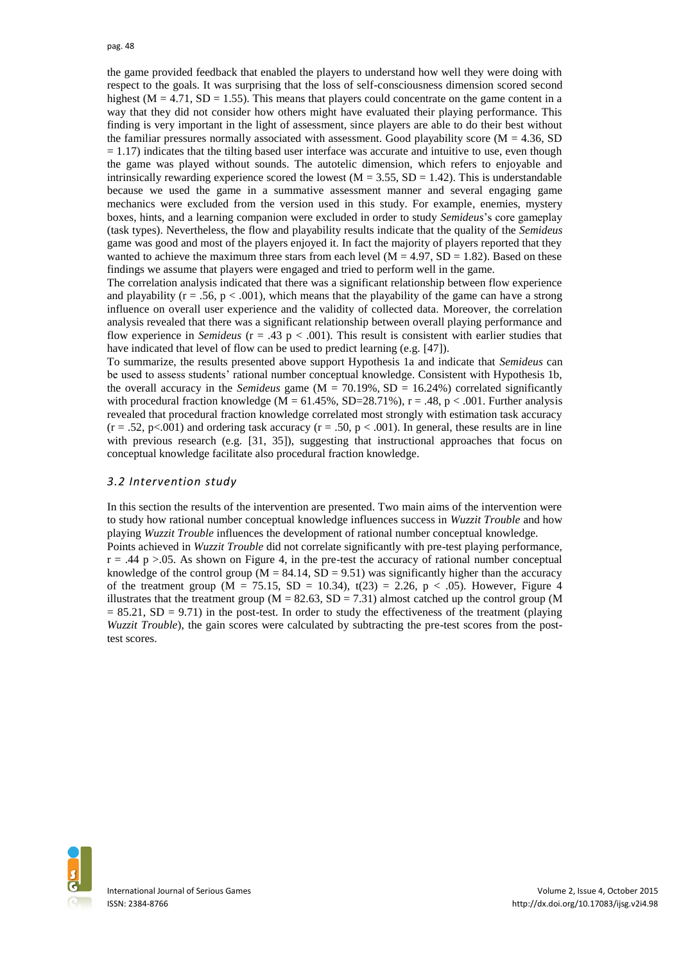the game provided feedback that enabled the players to understand how well they were doing with respect to the goals. It was surprising that the loss of self-consciousness dimension scored second highest ( $M = 4.71$ ,  $SD = 1.55$ ). This means that players could concentrate on the game content in a way that they did not consider how others might have evaluated their playing performance. This finding is very important in the light of assessment, since players are able to do their best without the familiar pressures normally associated with assessment. Good playability score  $(M = 4.36, SD)$  $= 1.17$ ) indicates that the tilting based user interface was accurate and intuitive to use, even though the game was played without sounds. The autotelic dimension, which refers to enjoyable and intrinsically rewarding experience scored the lowest ( $M = 3.55$ ,  $SD = 1.42$ ). This is understandable because we used the game in a summative assessment manner and several engaging game mechanics were excluded from the version used in this study. For example, enemies, mystery boxes, hints, and a learning companion were excluded in order to study *Semideus*'s core gameplay (task types). Nevertheless, the flow and playability results indicate that the quality of the *Semideus* game was good and most of the players enjoyed it. In fact the majority of players reported that they wanted to achieve the maximum three stars from each level  $(M = 4.97, SD = 1.82)$ . Based on these findings we assume that players were engaged and tried to perform well in the game.

The correlation analysis indicated that there was a significant relationship between flow experience and playability ( $r = .56$ ,  $p < .001$ ), which means that the playability of the game can have a strong influence on overall user experience and the validity of collected data. Moreover, the correlation analysis revealed that there was a significant relationship between overall playing performance and flow experience in *Semideus* (r = .43 p < .001). This result is consistent with earlier studies that have indicated that level of flow can be used to predict learning (e.g. [47]).

To summarize, the results presented above support Hypothesis 1a and indicate that *Semideus* can be used to assess students' rational number conceptual knowledge. Consistent with Hypothesis 1b, the overall accuracy in the *Semideus* game ( $M = 70.19\%$ ,  $SD = 16.24\%$ ) correlated significantly with procedural fraction knowledge (M =  $61.45\%$ , SD=28.71%), r = .48, p < .001. Further analysis revealed that procedural fraction knowledge correlated most strongly with estimation task accuracy  $(r = .52, p < .001)$  and ordering task accuracy  $(r = .50, p < .001)$ . In general, these results are in line with previous research (e.g. [31, 35]), suggesting that instructional approaches that focus on conceptual knowledge facilitate also procedural fraction knowledge.

#### *3.2 Intervention study*

In this section the results of the intervention are presented. Two main aims of the intervention were to study how rational number conceptual knowledge influences success in *Wuzzit Trouble* and how playing *Wuzzit Trouble* influences the development of rational number conceptual knowledge.

Points achieved in *Wuzzit Trouble* did not correlate significantly with pre-test playing performance,  $r = .44$  p  $> .05$ . As shown on Figure 4, in the pre-test the accuracy of rational number conceptual knowledge of the control group ( $M = 84.14$ ,  $SD = 9.51$ ) was significantly higher than the accuracy of the treatment group (M = 75.15, SD = 10.34), t(23) = 2.26, p < .05). However, Figure 4 illustrates that the treatment group ( $M = 82.63$ ,  $SD = 7.31$ ) almost catched up the control group (M  $= 85.21$ , SD  $= 9.71$ ) in the post-test. In order to study the effectiveness of the treatment (playing *Wuzzit Trouble*), the gain scores were calculated by subtracting the pre-test scores from the posttest scores.

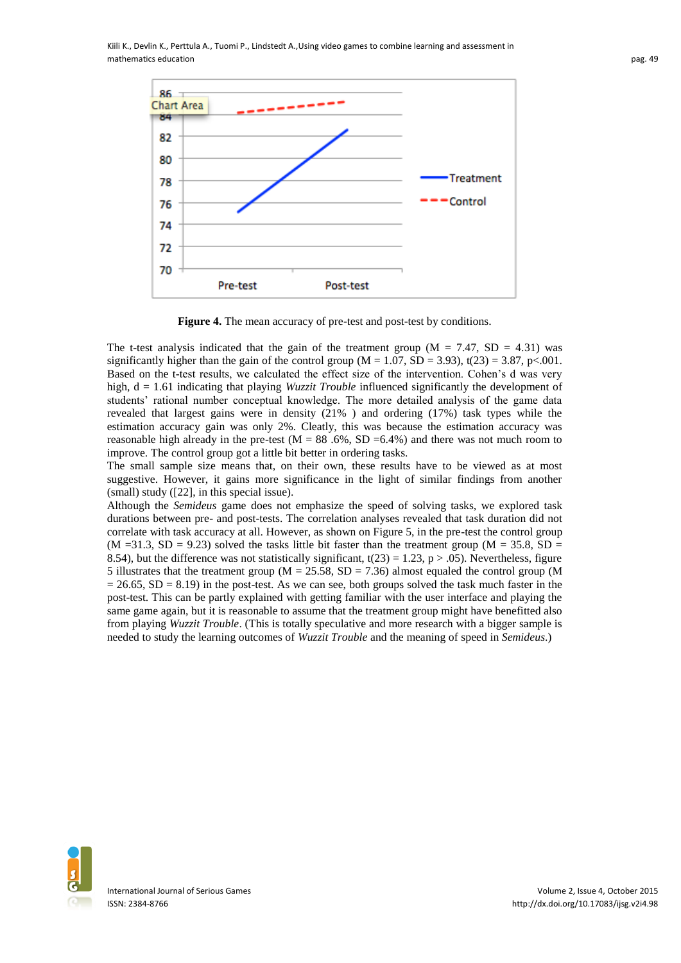

**Figure 4.** The mean accuracy of pre-test and post-test by conditions.

The t-test analysis indicated that the gain of the treatment group ( $M = 7.47$ , SD = 4.31) was significantly higher than the gain of the control group ( $M = 1.07$ ,  $SD = 3.93$ ), t(23) = 3.87, p<.001. Based on the t-test results, we calculated the effect size of the intervention. Cohen's d was very high,  $d = 1.61$  indicating that playing *Wuzzit Trouble* influenced significantly the development of students' rational number conceptual knowledge. The more detailed analysis of the game data revealed that largest gains were in density (21% ) and ordering (17%) task types while the estimation accuracy gain was only 2%. Cleatly, this was because the estimation accuracy was reasonable high already in the pre-test  $(M = 88, 6\%, SD = 6.4\%)$  and there was not much room to improve. The control group got a little bit better in ordering tasks.

The small sample size means that, on their own, these results have to be viewed as at most suggestive. However, it gains more significance in the light of similar findings from another (small) study ([22], in this special issue).

Although the *Semideus* game does not emphasize the speed of solving tasks, we explored task durations between pre- and post-tests. The correlation analyses revealed that task duration did not correlate with task accuracy at all. However, as shown on Figure 5, in the pre-test the control group  $(M = 31.3, SD = 9.23)$  solved the tasks little bit faster than the treatment group  $(M = 35.8, SD = 10^{-10}$ 8.54), but the difference was not statistically significant,  $t(23) = 1.23$ ,  $p > .05$ ). Nevertheless, figure 5 illustrates that the treatment group ( $M = 25.58$ ,  $SD = 7.36$ ) almost equaled the control group (M  $= 26.65$ , SD  $= 8.19$ ) in the post-test. As we can see, both groups solved the task much faster in the post-test. This can be partly explained with getting familiar with the user interface and playing the same game again, but it is reasonable to assume that the treatment group might have benefitted also from playing *Wuzzit Trouble*. (This is totally speculative and more research with a bigger sample is needed to study the learning outcomes of *Wuzzit Trouble* and the meaning of speed in *Semideus*.)

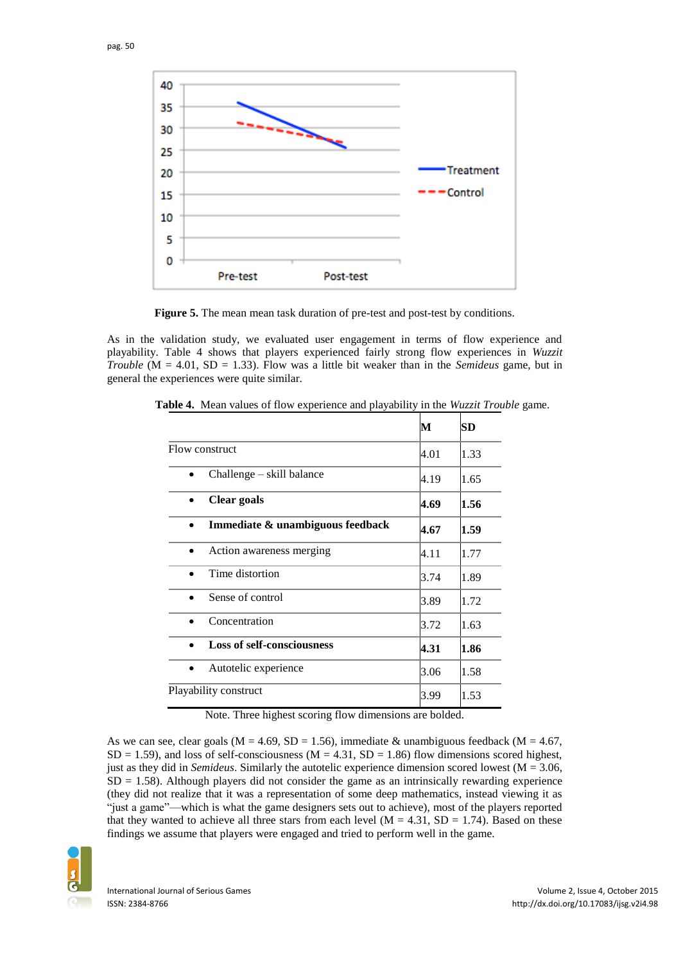

**Figure 5.** The mean mean task duration of pre-test and post-test by conditions.

As in the validation study, we evaluated user engagement in terms of flow experience and playability. Table 4 shows that players experienced fairly strong flow experiences in *Wuzzit Trouble* (M = 4.01, SD = 1.33). Flow was a little bit weaker than in the *Semideus* game, but in general the experiences were quite similar.

|                                               | М    | SD   |
|-----------------------------------------------|------|------|
| Flow construct<br>4.01                        |      | 1.33 |
| Challenge – skill balance                     | 4.19 | 1.65 |
| Clear goals                                   | 4.69 | 1.56 |
| Immediate & unambiguous feedback<br>$\bullet$ | 4.67 | 1.59 |
| Action awareness merging                      | 4.11 | 1.77 |
| Time distortion                               | 3.74 | 1.89 |
| Sense of control                              | 3.89 | 1.72 |
| Concentration                                 | 3.72 | 1.63 |
| <b>Loss of self-consciousness</b>             | 4.31 | 1.86 |
| Autotelic experience<br>$\bullet$             | 3.06 | 1.58 |
| Playability construct                         |      | 1.53 |

**Table 4.** Mean values of flow experience and playability in the *Wuzzit Trouble* game.

Note. Three highest scoring flow dimensions are bolded.

As we can see, clear goals ( $M = 4.69$ ,  $SD = 1.56$ ), immediate & unambiguous feedback ( $M = 4.67$ ,  $SD = 1.59$ ), and loss of self-consciousness ( $M = 4.31$ ,  $SD = 1.86$ ) flow dimensions scored highest, just as they did in *Semideus*. Similarly the autotelic experience dimension scored lowest (M = 3.06,  $SD = 1.58$ ). Although players did not consider the game as an intrinsically rewarding experience (they did not realize that it was a representation of some deep mathematics, instead viewing it as "just a game"—which is what the game designers sets out to achieve), most of the players reported that they wanted to achieve all three stars from each level  $(M = 4.31, SD = 1.74)$ . Based on these findings we assume that players were engaged and tried to perform well in the game.

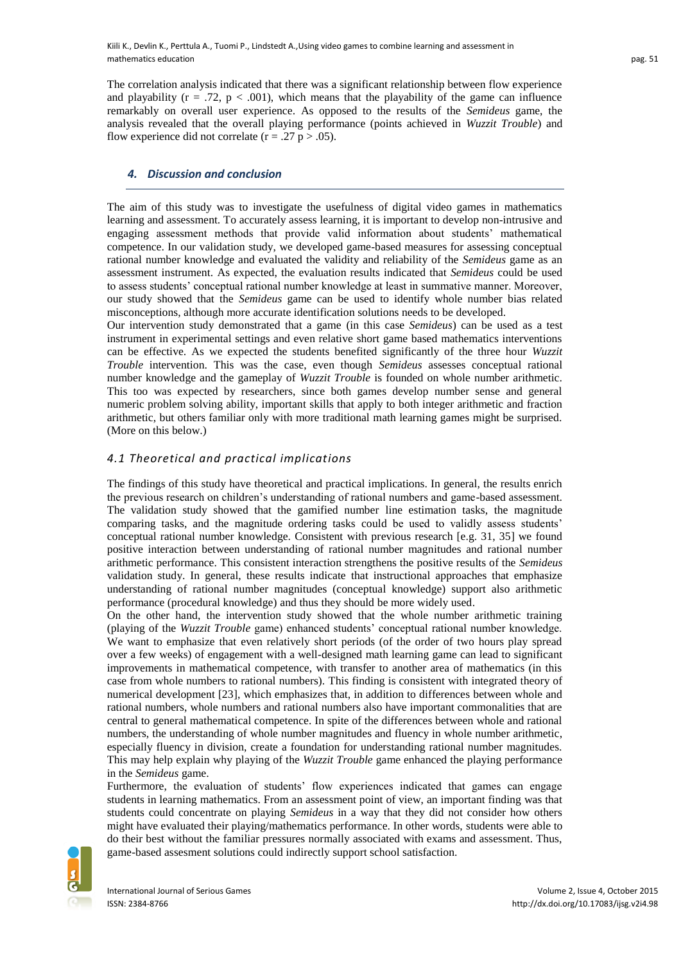The correlation analysis indicated that there was a significant relationship between flow experience and playability  $(r = .72, p < .001)$ , which means that the playability of the game can influence remarkably on overall user experience. As opposed to the results of the *Semideus* game, the analysis revealed that the overall playing performance (points achieved in *Wuzzit Trouble*) and flow experience did not correlate ( $r = .27$  p  $> .05$ ).

### *4. Discussion and conclusion*

The aim of this study was to investigate the usefulness of digital video games in mathematics learning and assessment. To accurately assess learning, it is important to develop non-intrusive and engaging assessment methods that provide valid information about students' mathematical competence. In our validation study, we developed game-based measures for assessing conceptual rational number knowledge and evaluated the validity and reliability of the *Semideus* game as an assessment instrument. As expected, the evaluation results indicated that *Semideus* could be used to assess students' conceptual rational number knowledge at least in summative manner. Moreover, our study showed that the *Semideus* game can be used to identify whole number bias related misconceptions, although more accurate identification solutions needs to be developed.

Our intervention study demonstrated that a game (in this case *Semideus*) can be used as a test instrument in experimental settings and even relative short game based mathematics interventions can be effective. As we expected the students benefited significantly of the three hour *Wuzzit Trouble* intervention. This was the case, even though *Semideus* assesses conceptual rational number knowledge and the gameplay of *Wuzzit Trouble* is founded on whole number arithmetic. This too was expected by researchers, since both games develop number sense and general numeric problem solving ability, important skills that apply to both integer arithmetic and fraction arithmetic, but others familiar only with more traditional math learning games might be surprised. (More on this below.)

### *4.1 Theoretical and practical implications*

The findings of this study have theoretical and practical implications. In general, the results enrich the previous research on children's understanding of rational numbers and game-based assessment. The validation study showed that the gamified number line estimation tasks, the magnitude comparing tasks, and the magnitude ordering tasks could be used to validly assess students' conceptual rational number knowledge. Consistent with previous research [e.g. 31, 35] we found positive interaction between understanding of rational number magnitudes and rational number arithmetic performance. This consistent interaction strengthens the positive results of the *Semideus* validation study. In general, these results indicate that instructional approaches that emphasize understanding of rational number magnitudes (conceptual knowledge) support also arithmetic performance (procedural knowledge) and thus they should be more widely used.

On the other hand, the intervention study showed that the whole number arithmetic training (playing of the *Wuzzit Trouble* game) enhanced students' conceptual rational number knowledge. We want to emphasize that even relatively short periods (of the order of two hours play spread over a few weeks) of engagement with a well-designed math learning game can lead to significant improvements in mathematical competence, with transfer to another area of mathematics (in this case from whole numbers to rational numbers). This finding is consistent with integrated theory of numerical development [23], which emphasizes that, in addition to differences between whole and rational numbers, whole numbers and rational numbers also have important commonalities that are central to general mathematical competence. In spite of the differences between whole and rational numbers, the understanding of whole number magnitudes and fluency in whole number arithmetic, especially fluency in division, create a foundation for understanding rational number magnitudes. This may help explain why playing of the *Wuzzit Trouble* game enhanced the playing performance in the *Semideus* game.

Furthermore, the evaluation of students' flow experiences indicated that games can engage students in learning mathematics. From an assessment point of view, an important finding was that students could concentrate on playing *Semideus* in a way that they did not consider how others might have evaluated their playing/mathematics performance. In other words, students were able to do their best without the familiar pressures normally associated with exams and assessment. Thus, game-based assesment solutions could indirectly support school satisfaction.

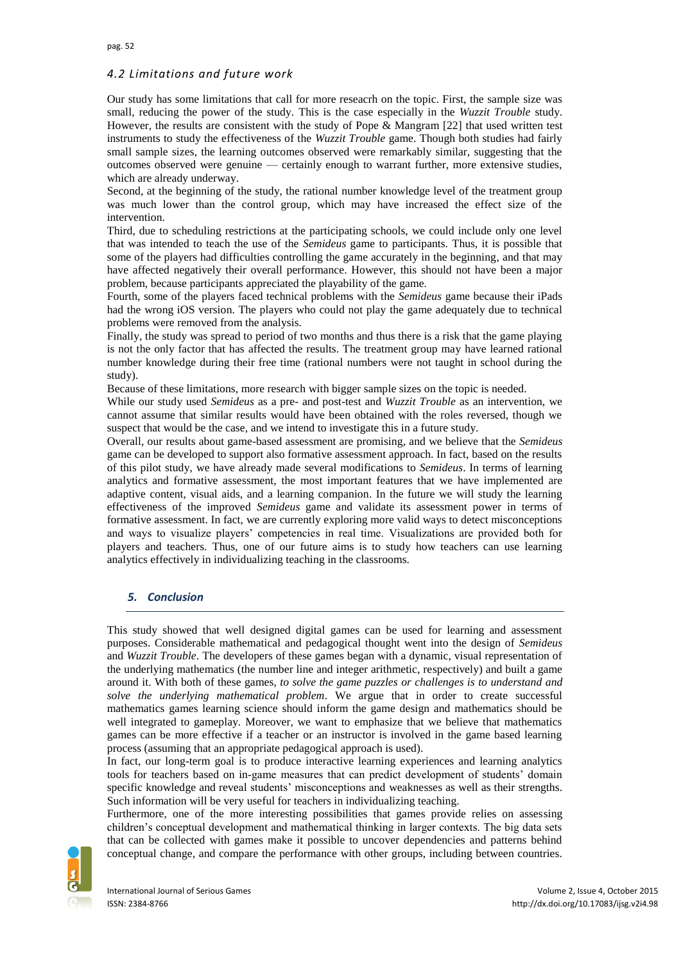# *4.2 Limitations and future work*

Our study has some limitations that call for more reseacrh on the topic. First, the sample size was small, reducing the power of the study. This is the case especially in the *Wuzzit Trouble* study. However, the results are consistent with the study of Pope & Mangram [22] that used written test instruments to study the effectiveness of the *Wuzzit Trouble* game. Though both studies had fairly small sample sizes, the learning outcomes observed were remarkably similar, suggesting that the outcomes observed were genuine — certainly enough to warrant further, more extensive studies, which are already underway.

Second, at the beginning of the study, the rational number knowledge level of the treatment group was much lower than the control group, which may have increased the effect size of the intervention.

Third, due to scheduling restrictions at the participating schools, we could include only one level that was intended to teach the use of the *Semideus* game to participants. Thus, it is possible that some of the players had difficulties controlling the game accurately in the beginning, and that may have affected negatively their overall performance. However, this should not have been a major problem, because participants appreciated the playability of the game.

Fourth, some of the players faced technical problems with the *Semideus* game because their iPads had the wrong iOS version. The players who could not play the game adequately due to technical problems were removed from the analysis.

Finally, the study was spread to period of two months and thus there is a risk that the game playing is not the only factor that has affected the results. The treatment group may have learned rational number knowledge during their free time (rational numbers were not taught in school during the study).

Because of these limitations, more research with bigger sample sizes on the topic is needed.

While our study used *Semideus* as a pre- and post-test and *Wuzzit Trouble* as an intervention, we cannot assume that similar results would have been obtained with the roles reversed, though we suspect that would be the case, and we intend to investigate this in a future study.

Overall, our results about game-based assessment are promising, and we believe that the *Semideus* game can be developed to support also formative assessment approach. In fact, based on the results of this pilot study, we have already made several modifications to *Semideus*. In terms of learning analytics and formative assessment, the most important features that we have implemented are adaptive content, visual aids, and a learning companion. In the future we will study the learning effectiveness of the improved *Semideus* game and validate its assessment power in terms of formative assessment. In fact, we are currently exploring more valid ways to detect misconceptions and ways to visualize players' competencies in real time. Visualizations are provided both for players and teachers. Thus, one of our future aims is to study how teachers can use learning analytics effectively in individualizing teaching in the classrooms.

## *5. Conclusion*

This study showed that well designed digital games can be used for learning and assessment purposes. Considerable mathematical and pedagogical thought went into the design of *Semideus* and *Wuzzit Trouble*. The developers of these games began with a dynamic, visual representation of the underlying mathematics (the number line and integer arithmetic, respectively) and built a game around it. With both of these games, *to solve the game puzzles or challenges is to understand and solve the underlying mathematical problem*. We argue that in order to create successful mathematics games learning science should inform the game design and mathematics should be well integrated to gameplay. Moreover, we want to emphasize that we believe that mathematics games can be more effective if a teacher or an instructor is involved in the game based learning process (assuming that an appropriate pedagogical approach is used).

In fact, our long-term goal is to produce interactive learning experiences and learning analytics tools for teachers based on in-game measures that can predict development of students' domain specific knowledge and reveal students' misconceptions and weaknesses as well as their strengths. Such information will be very useful for teachers in individualizing teaching.

Furthermore, one of the more interesting possibilities that games provide relies on assessing children's conceptual development and mathematical thinking in larger contexts. The big data sets that can be collected with games make it possible to uncover dependencies and patterns behind conceptual change, and compare the performance with other groups, including between countries.

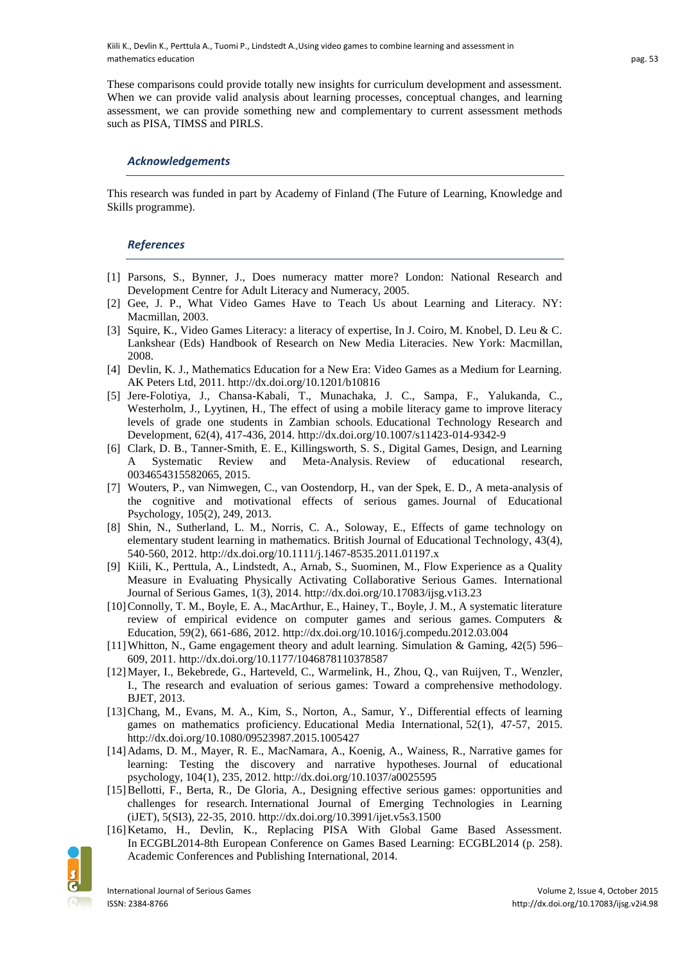These comparisons could provide totally new insights for curriculum development and assessment. When we can provide valid analysis about learning processes, conceptual changes, and learning assessment, we can provide something new and complementary to current assessment methods such as PISA, TIMSS and PIRLS.

### *Acknowledgements*

This research was funded in part by Academy of Finland (The Future of Learning, Knowledge and Skills programme).

### *References*

- [1] Parsons, S., Bynner, J., Does numeracy matter more? London: National Research and Development Centre for Adult Literacy and Numeracy, 2005.
- [2] Gee, J. P., What Video Games Have to Teach Us about Learning and Literacy. NY: Macmillan, 2003.
- [3] Squire, K., Video Games Literacy: a literacy of expertise, In J. Coiro, M. Knobel, D. Leu & C. Lankshear (Eds) Handbook of Research on New Media Literacies. New York: Macmillan, 2008.
- [4] Devlin, K. J., Mathematics Education for a New Era: Video Games as a Medium for Learning. AK Peters Ltd, 2011. http://dx.doi.org/10.1201/b10816
- [5] Jere-Folotiya, J., Chansa-Kabali, T., Munachaka, J. C., Sampa, F., Yalukanda, C., Westerholm, J., Lyytinen, H., The effect of using a mobile literacy game to improve literacy levels of grade one students in Zambian schools. Educational Technology Research and Development, 62(4), 417-436, 2014. http://dx.doi.org/10.1007/s11423-014-9342-9
- [6] Clark, D. B., Tanner-Smith, E. E., Killingsworth, S. S., Digital Games, Design, and Learning A Systematic Review and Meta-Analysis. Review of educational research, 0034654315582065, 2015.
- [7] Wouters, P., van Nimwegen, C., van Oostendorp, H., van der Spek, E. D., A meta-analysis of the cognitive and motivational effects of serious games. Journal of Educational Psychology, 105(2), 249, 2013.
- [8] Shin, N., Sutherland, L. M., Norris, C. A., Soloway, E., Effects of game technology on elementary student learning in mathematics. British Journal of Educational Technology, 43(4), 540-560, 2012. http://dx.doi.org/10.1111/j.1467-8535.2011.01197.x
- [9] Kiili, K., Perttula, A., Lindstedt, A., Arnab, S., Suominen, M., Flow Experience as a Quality Measure in Evaluating Physically Activating Collaborative Serious Games. International Journal of Serious Games, 1(3), 2014. http://dx.doi.org/10.17083/ijsg.v1i3.23
- [10]Connolly, T. M., Boyle, E. A., MacArthur, E., Hainey, T., Boyle, J. M., A systematic literature review of empirical evidence on computer games and serious games. Computers & Education, 59(2), 661-686, 2012. http://dx.doi.org/10.1016/j.compedu.2012.03.004
- [11]Whitton, N., Game engagement theory and adult learning. Simulation & Gaming, 42(5) 596– 609, 2011. http://dx.doi.org/10.1177/1046878110378587
- [12]Mayer, I., Bekebrede, G., Harteveld, C., Warmelink, H., Zhou, Q., van Ruijven, T., Wenzler, I., The research and evaluation of serious games: Toward a comprehensive methodology. BJET, 2013.
- [13]Chang, M., Evans, M. A., Kim, S., Norton, A., Samur, Y., Differential effects of learning games on mathematics proficiency. Educational Media International, 52(1), 47-57, 2015. http://dx.doi.org/10.1080/09523987.2015.1005427
- [14]Adams, D. M., Mayer, R. E., MacNamara, A., Koenig, A., Wainess, R., Narrative games for learning: Testing the discovery and narrative hypotheses. Journal of educational psychology, 104(1), 235, 2012. http://dx.doi.org/10.1037/a0025595
- [15]Bellotti, F., Berta, R., De Gloria, A., Designing effective serious games: opportunities and challenges for research. International Journal of Emerging Technologies in Learning (iJET), 5(SI3), 22-35, 2010. http://dx.doi.org/10.3991/ijet.v5s3.1500
- [16]Ketamo, H., Devlin, K., Replacing PISA With Global Game Based Assessment. In ECGBL2014-8th European Conference on Games Based Learning: ECGBL2014 (p. 258). Academic Conferences and Publishing International, 2014.

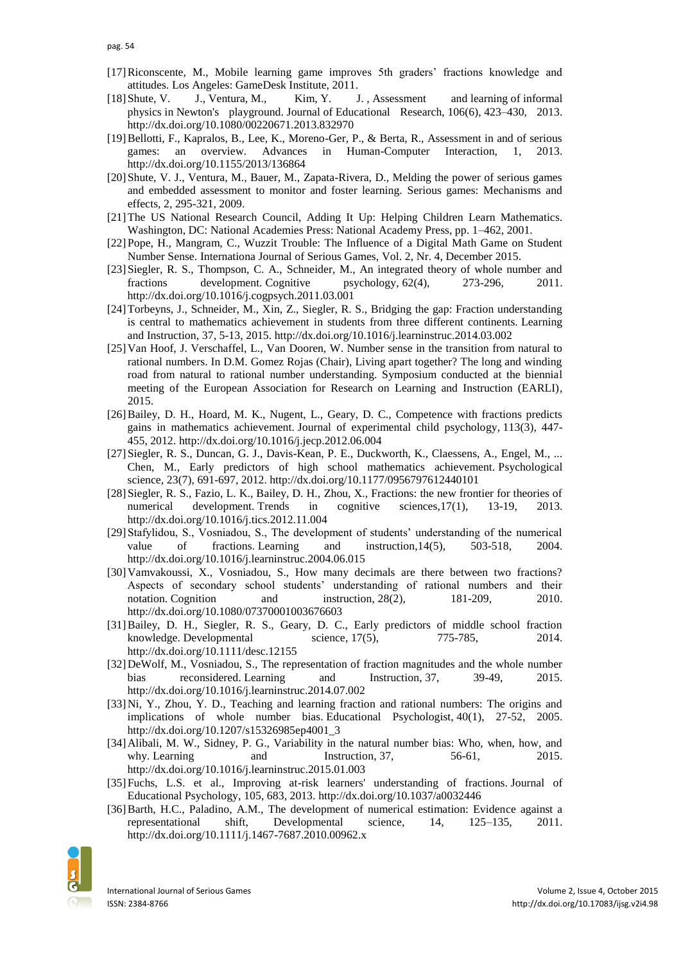- [17]Riconscente, M., Mobile learning game improves 5th graders' fractions knowledge and attitudes. Los Angeles: GameDesk Institute, 2011.
- [18]Shute, V. J., Ventura, M., Kim, Y. J. , Assessment and learning of informal physics in Newton's playground. Journal of Educational Research, 106(6), 423–430, 2013. http://dx.doi.org/10.1080/00220671.2013.832970
- [19]Bellotti, F., Kapralos, B., Lee, K., Moreno-Ger, P., & Berta, R., Assessment in and of serious games: an overview. Advances in Human-Computer Interaction, 1, 2013. http://dx.doi.org/10.1155/2013/136864
- [20]Shute, V. J., Ventura, M., Bauer, M., Zapata-Rivera, D., Melding the power of serious games and embedded assessment to monitor and foster learning. Serious games: Mechanisms and effects, 2, 295-321, 2009.
- [21]The US National Research Council, Adding It Up: Helping Children Learn Mathematics. Washington, DC: National Academies Press: National Academy Press, pp. 1–462, 2001.
- [22]Pope, H., Mangram, C., Wuzzit Trouble: The Influence of a Digital Math Game on Student Number Sense. Internationa Journal of Serious Games, Vol. 2, Nr. 4, December 2015.
- [23]Siegler, R. S., Thompson, C. A., Schneider, M., An integrated theory of whole number and fractions development. Cognitive psychology, 62(4), 273-296, 2011. http://dx.doi.org/10.1016/j.cogpsych.2011.03.001
- [24]Torbeyns, J., Schneider, M., Xin, Z., Siegler, R. S., Bridging the gap: Fraction understanding is central to mathematics achievement in students from three different continents. Learning and Instruction, 37, 5-13, 2015. http://dx.doi.org/10.1016/j.learninstruc.2014.03.002
- [25]Van Hoof, J. Verschaffel, L., Van Dooren, W. Number sense in the transition from natural to rational numbers. In D.M. Gomez Rojas (Chair), Living apart together? The long and winding road from natural to rational number understanding. Symposium conducted at the biennial meeting of the European Association for Research on Learning and Instruction (EARLI), 2015.
- [26]Bailey, D. H., Hoard, M. K., Nugent, L., Geary, D. C., Competence with fractions predicts gains in mathematics achievement. Journal of experimental child psychology, 113(3), 447- 455, 2012. http://dx.doi.org/10.1016/j.jecp.2012.06.004
- [27]Siegler, R. S., Duncan, G. J., Davis-Kean, P. E., Duckworth, K., Claessens, A., Engel, M., ... Chen, M., Early predictors of high school mathematics achievement. Psychological science, 23(7), 691-697, 2012. http://dx.doi.org/10.1177/0956797612440101
- [28]Siegler, R. S., Fazio, L. K., Bailey, D. H., Zhou, X., Fractions: the new frontier for theories of numerical development. Trends in cognitive sciences, 17(1), 13-19, 2013. http://dx.doi.org/10.1016/j.tics.2012.11.004
- [29]Stafylidou, S., Vosniadou, S., The development of students' understanding of the numerical value of fractions. Learning and instruction,14(5), 503-518, 2004. http://dx.doi.org/10.1016/j.learninstruc.2004.06.015
- [30]Vamvakoussi, X., Vosniadou, S., How many decimals are there between two fractions? Aspects of secondary school students' understanding of rational numbers and their notation. Cognition and instruction, 28(2), 181-209, 2010. http://dx.doi.org/10.1080/07370001003676603
- [31]Bailey, D. H., Siegler, R. S., Geary, D. C., Early predictors of middle school fraction knowledge. Developmental science, 17(5), 775-785, 2014. http://dx.doi.org/10.1111/desc.12155
- [32]DeWolf, M., Vosniadou, S., The representation of fraction magnitudes and the whole number bias reconsidered. Learning and Instruction, 37, 39-49, 2015. http://dx.doi.org/10.1016/j.learninstruc.2014.07.002
- [33]Ni, Y., Zhou, Y. D., Teaching and learning fraction and rational numbers: The origins and implications of whole number bias. Educational Psychologist, 40(1), 27-52, 2005. http://dx.doi.org/10.1207/s15326985ep4001\_3
- [34]Alibali, M. W., Sidney, P. G., Variability in the natural number bias: Who, when, how, and why. Learning and Instruction, 37, 56-61, 2015. http://dx.doi.org/10.1016/j.learninstruc.2015.01.003
- [35]Fuchs, L.S. et al., Improving at-risk learners' understanding of fractions. Journal of Educational Psychology, 105, 683, 2013. http://dx.doi.org/10.1037/a0032446
- [36]Barth, H.C., Paladino, A.M., The development of numerical estimation: Evidence against a representational shift, Developmental science, 14, 125–135, 2011. http://dx.doi.org/10.1111/j.1467-7687.2010.00962.x